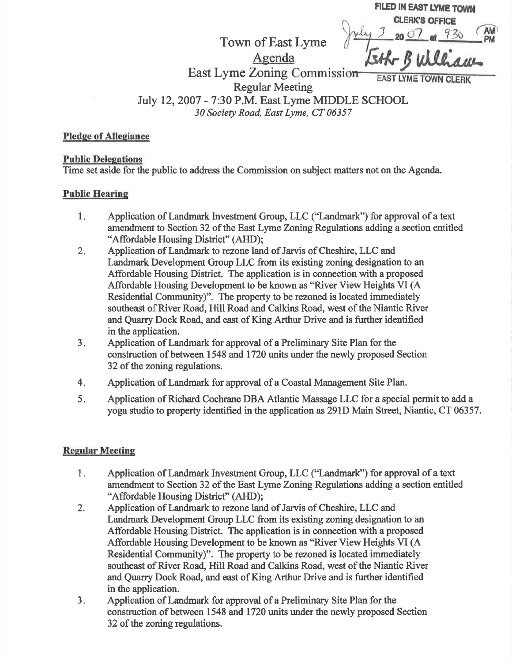|  | FILED IN EAST LYME TOWN<br>LERK'S OFFICE |  |
|--|------------------------------------------|--|
|  | $n \Omega$                               |  |
|  | $k-B$ well $am$                          |  |

Agenda East Lyme Zoning Commission **EAST LYME TOWN CLERK** 

Regular Meeting

Town of East Lyme

Iuly 12,2007 - 7:30 P.M. East Lyme MDDLE SCHOOL 30 Society Road, East Lyme, CT 06357

Pledge of Allegiance

### **Public Delegations**

Time set aside for the public to address the Commission on subject matters not on the Agenda.

## Public Hearinq

- $1<sub>1</sub>$ Application of Landmark Investment Group, LLC ("Landmark") for approval of a text amendment to Section 32 of the East Lyme Zoning Regulations adding a section entitled "Affordable Housing Disffict" (AHD);
- $2.$ Application of Landmark to rezone land of Jarvis of Cheshire, LLC and Landmark Development Group LLC from its existing zoning designation to an Affordable Housing District. The application is in connection with a proposed Affordable Housing Development to be known as "River View Heights VI (A Residential Community)". The property to be rezoned is located immediately southeast of River Road, Hill Road and Calkins Road, west of the Niantic River and Quarry Dock Road, and east of King Arthur Drive and is firther identified in the application.
- 3 Application of Landmark for approval of a Preliminary Site Plan for the construction of between 1548 and 1720 units under the newly proposed Section 32 of the zoning regulations.
- Application of Landmark for approval of a Coastal Management Site Plan.  $4<sub>i</sub>$
- Application of Richard Cochrane DBA Atlantic Massage LLC for a special permit to add a yoga studio to property identified in the application as 291D Main Street, Niantic, CT 06357.  $5.$

## **Regular Meeting**

- $1.$ Application of Landmark Investment Group, LLC ("Landmark") for approval of a text amendment to Section 32 of the East Lyme Zoning Regulations adding a section entitled "Affordable Housing District" (AHD);
- 2. Application of Landmark to rezone land of Jarvis of Cheshire, LLC and Landmark Development Group LLC from its existing zoning designation to an Affordable Housing District. The application is in connection with a proposed Affordable Housing Development to be known as "River View Heights VI (A Residential Community)". The property to be rezoned is located immediately southeast of River Road, Hill Road and Calkins Road, west of the Niantic River and Quarry Dock Road, and east of King Arthur Drive and is further identified in the application.
- $3.$ Application of Landmark for approval of a Preliminary Site Plan for the construction of between 1548 and 1720 units under the newly proposed Section 32 of the zoning regulations.